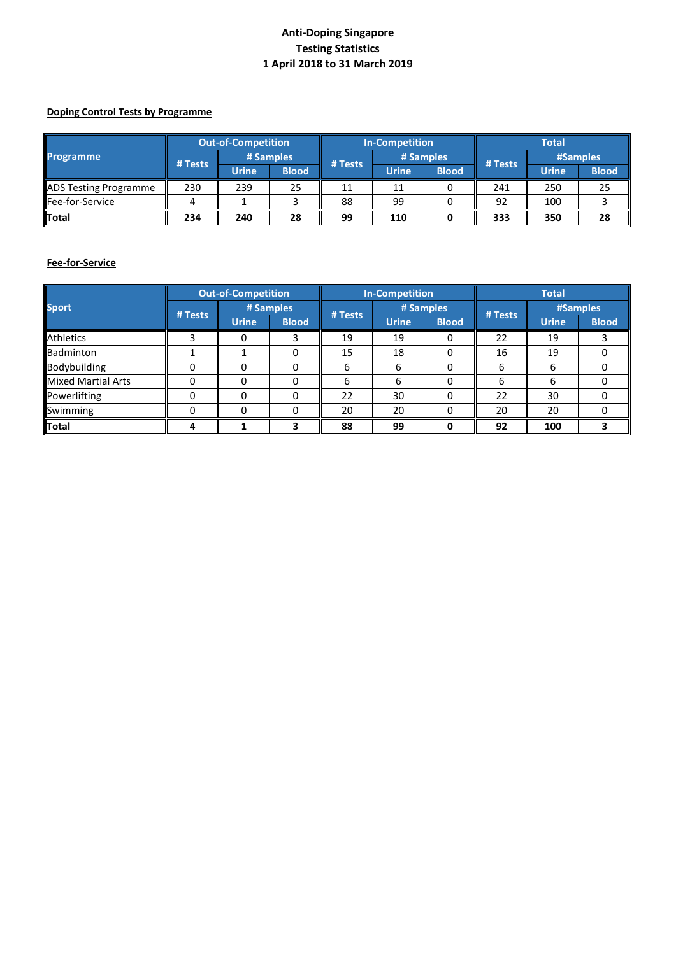# **Anti-Doping Singapore Testing Statistics 1 April 2018 to 31 March 2019**

#### **Doping Control Tests by Programme**

|                              | <b>Out-of-Competition</b> |           |              | <b>In-Competition</b> |              |              | <b>Total</b> |              |              |
|------------------------------|---------------------------|-----------|--------------|-----------------------|--------------|--------------|--------------|--------------|--------------|
| Programme                    | # Tests                   | # Samples |              | # Tests               | # Samples    |              | # Tests      | #Samples     |              |
|                              |                           | Urine     | <b>Blood</b> |                       | <b>Urine</b> | <b>Blood</b> |              | <b>Urine</b> | <b>Blood</b> |
| <b>ADS Testing Programme</b> | 230                       | 239       | 25           | 11                    | 11           |              | 241          | 250          | 25           |
| Fee-for-Service              |                           |           |              | 88                    | 99           |              | 92           | 100          |              |
| Total                        | 234                       | 240       | 28           | 99                    | 110          |              | 333          | 350          | 28           |

### **Fee-for-Service**

|                           | <b>Out-of-Competition</b> |              |              | <b>In-Competition</b> |              |              | <b>Total</b> |              |              |
|---------------------------|---------------------------|--------------|--------------|-----------------------|--------------|--------------|--------------|--------------|--------------|
| <b>Sport</b>              | # Samples                 |              |              |                       | # Samples    |              |              | #Samples     |              |
|                           | # Tests                   | <b>Urine</b> | <b>Blood</b> | # Tests               | <b>Urine</b> | <b>Blood</b> | # Tests      | <b>Urine</b> | <b>Blood</b> |
| <b>Athletics</b>          |                           |              | 3            | 19                    | 19           | 0            | 22           | 19           |              |
| Badminton                 |                           |              | 0            | 15                    | 18           | 0            | 16           | 19           |              |
| Bodybuilding              |                           |              | 0            | 6                     | h            | 0            | 6            | 6            |              |
| <b>Mixed Martial Arts</b> | <sup>0</sup>              | n            | 0            | 6                     | h            | 0            | 6            | 6            |              |
| Powerlifting              | 0                         |              | 0            | 22                    | 30           | 0            | 22           | 30           |              |
| Swimming                  |                           | n            | 0            | 20                    | 20           | 0            | 20           | 20           |              |
| Total                     |                           |              | 3            | 88                    | 99           | <sup>0</sup> | 92           | 100          |              |